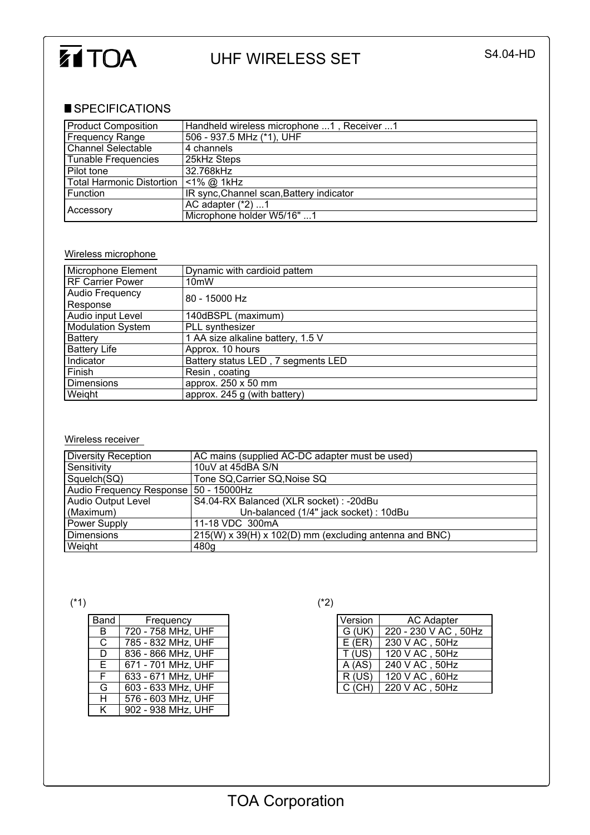

## UHF WIRELESS SET S4.04-HD

## SPECIFICATIONS

| <b>Product Composition</b> | Handheld wireless microphone 1, Receiver 1 |
|----------------------------|--------------------------------------------|
| <b>Frequency Range</b>     | 506 - 937.5 MHz (*1), UHF                  |
| <b>Channel Selectable</b>  | 4 channels                                 |
| Tunable Frequencies        | 25kHz Steps                                |
| Pilot tone                 | 32.768kHz                                  |
| Total Harmonic Distortion  | $<$ 1% @ 1kHz                              |
| l Function                 | IR sync, Channel scan, Battery indicator   |
| Accessory                  | AC adapter $(*2)$ 1                        |
|                            | Microphone holder W5/16" 1                 |

## Wireless microphone

| Microphone Element       | Dynamic with cardioid pattem       |
|--------------------------|------------------------------------|
| <b>RF Carrier Power</b>  | 10 <sub>m</sub> W                  |
| Audio Frequency          | 80 - 15000 Hz                      |
| Response                 |                                    |
| Audio input Level        | 140dBSPL (maximum)                 |
| <b>Modulation System</b> | PLL synthesizer                    |
| Battery                  | 1 AA size alkaline battery, 1.5 V  |
| <b>Battery Life</b>      | Approx. 10 hours                   |
| Indicator                | Battery status LED, 7 segments LED |
| Finish                   | Resin, coating                     |
| <b>Dimensions</b>        | approx. 250 x 50 mm                |
| Weight                   | approx. 245 g (with battery)       |

## Wireless receiver

| Diversity Reception                   | AC mains (supplied AC-DC adapter must be used)         |
|---------------------------------------|--------------------------------------------------------|
| Sensitivity                           | 10uV at 45dBA S/N                                      |
| Squelch(SQ)                           | Tone SQ, Carrier SQ, Noise SQ                          |
| Audio Frequency Response 50 - 15000Hz |                                                        |
| <b>Audio Output Level</b>             | S4.04-RX Balanced (XLR socket) : -20dBu                |
| (Maximum)                             | Un-balanced (1/4" jack socket) : 10dBu                 |
| <b>Power Supply</b>                   | 11-18 VDC 300mA                                        |
| l Dimensions                          | 215(W) x 39(H) x 102(D) mm (excluding antenna and BNC) |
| Weight                                | 480g                                                   |

| Band | Frequency          |
|------|--------------------|
| B    | 720 - 758 MHz, UHF |
| C    | 785 - 832 MHz, UHF |
| D    | 836 - 866 MHz, UHF |
| Е    | 671 - 701 MHz, UHF |
| F    | 633 - 671 MHz, UHF |
| G    | 603 - 633 MHz, UHF |
| н    | 576 - 603 MHz, UHF |
| ĸ    | 902 - 938 MHz, UHF |

 $({}^{*}1)$  (\*2)

| Version  | <b>AC Adapter</b>    |
|----------|----------------------|
| G (UK)   | 220 - 230 V AC, 50Hz |
| $E$ (ER) | 230 V AC, 50Hz       |
| T(US)    | 120 V AC, 50Hz       |
| A(AS)    | 240 V AC, 50Hz       |
| R(US)    | 120 V AC, 60Hz       |
| $C$ (CH) | 220 V AC, 50Hz       |